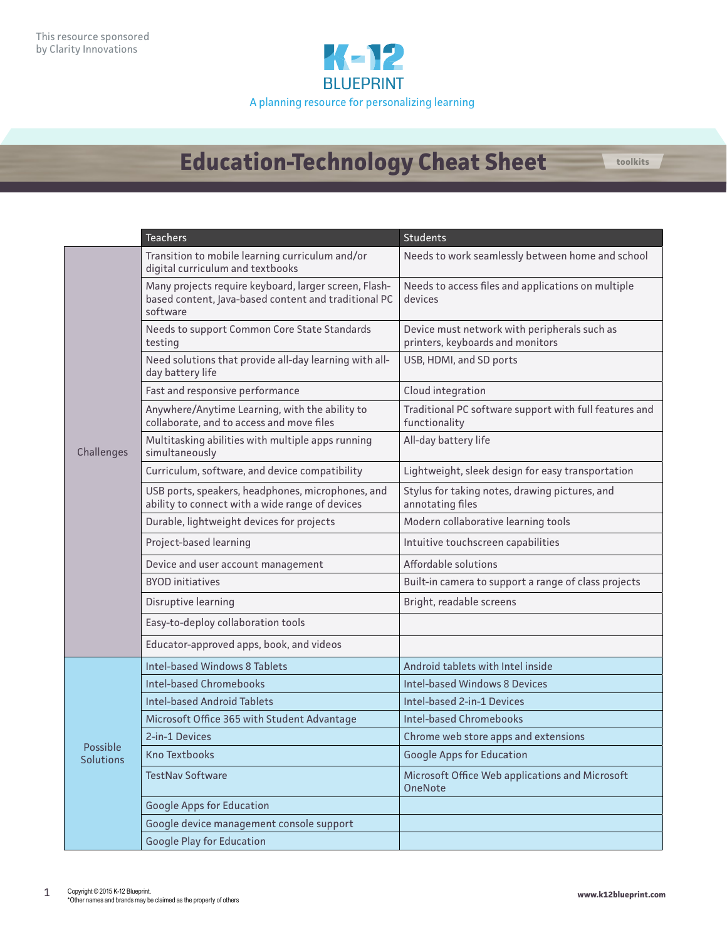

## **Education-Technology Cheat Sheet toolkits**

Teachers **Students** Students and Students and Students and Students and Students and Students Challenges Transition to mobile learning curriculum and/or digital curriculum and textbooks Needs to work seamlessly between home and school Many projects require keyboard, larger screen, Flashbased content, Java-based content and traditional PC software Needs to access files and applications on multiple devices Needs to support Common Core State Standards testing Device must network with peripherals such as printers, keyboards and monitors Need solutions that provide all-day learning with allday battery life USB, HDMI, and SD ports Fast and responsive performance Cloud integration Anywhere/Anytime Learning, with the ability to collaborate, and to access and move files Traditional PC software support with full features and functionality Multitasking abilities with multiple apps running simultaneously All-day battery life Curriculum, software, and device compatibility Lightweight, sleek design for easy transportation USB ports, speakers, headphones, microphones, and ability to connect with a wide range of devices Stylus for taking notes, drawing pictures, and annotating files Durable, lightweight devices for projects  $\vert$  Modern collaborative learning tools Project-based learning **Intuitive touchscreen capabilities** Device and user account management Affordable solutions BYOD initiatives **BUIL-** Built-in camera to support a range of class projects Disruptive learning and a state of the Bright, readable screens Easy-to-deploy collaboration tools Educator-approved apps, book, and videos Possible **Solutions** Intel-based Windows 8 Tablets Android tablets with Intel inside Intel-based Chromebooks Intel-based Windows 8 Devices Intel-based Android Tablets Intel-based 2-in-1 Devices Microsoft Office 365 with Student Advantage | Intel-based Chromebooks 2-in-1 Devices Chrome web store apps and extensions Kno Textbooks Google Apps for Education TestNav Software Microsoft Office Web applications and Microsoft Office Web applications and Microsoft **OneNote** Google Apps for Education Google device management console support Google Play for Education